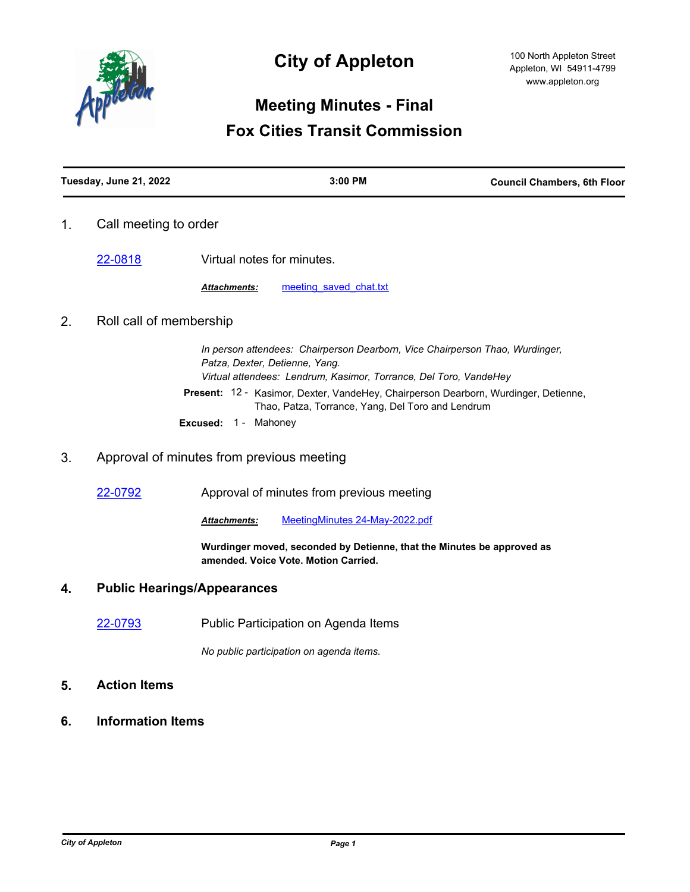

# **City of Appleton**

# **Meeting Minutes - Final Fox Cities Transit Commission**

| Tuesday, June 21, 2022 | $3:00$ PM | <b>Council Chambers, 6th Floor</b> |
|------------------------|-----------|------------------------------------|
|                        |           |                                    |

1. Call meeting to order

[22-0818](http://cityofappleton.legistar.com/gateway.aspx?m=l&id=/matter.aspx?key=21368) Virtual notes for minutes.

Attachments: meeting saved chat.txt

## 2. Roll call of membership

*In person attendees: Chairperson Dearborn, Vice Chairperson Thao, Wurdinger, Patza, Dexter, Detienne, Yang. Virtual attendees: Lendrum, Kasimor, Torrance, Del Toro, VandeHey* Present: 12 - Kasimor, Dexter, VandeHey, Chairperson Dearborn, Wurdinger, Detienne, Thao, Patza, Torrance, Yang, Del Toro and Lendrum **Excused:** 1 - Mahoney

### 3. Approval of minutes from previous meeting

[22-0792](http://cityofappleton.legistar.com/gateway.aspx?m=l&id=/matter.aspx?key=21342) Approval of minutes from previous meeting

*Attachments:* [MeetingMinutes 24-May-2022.pdf](http://cityofappleton.legistar.com/gateway.aspx?M=F&ID=ff467d88-aca1-4c3e-84fa-6e18395b8156.pdf)

**Wurdinger moved, seconded by Detienne, that the Minutes be approved as amended. Voice Vote. Motion Carried.**

#### **4. Public Hearings/Appearances**

[22-0793](http://cityofappleton.legistar.com/gateway.aspx?m=l&id=/matter.aspx?key=21343) Public Participation on Agenda Items

*No public participation on agenda items.*

- **5. Action Items**
- **6. Information Items**